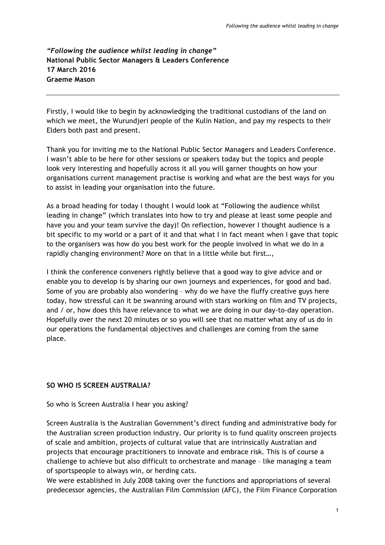# *"Following the audience whilst leading in change"* **National Public Sector Managers & Leaders Conference 17 March 2016 Graeme Mason**

Firstly, I would like to begin by acknowledging the traditional custodians of the land on which we meet, the Wurundjeri people of the Kulin Nation, and pay my respects to their Elders both past and present.

Thank you for inviting me to the National Public Sector Managers and Leaders Conference. I wasn't able to be here for other sessions or speakers today but the topics and people look very interesting and hopefully across it all you will garner thoughts on how your organisations current management practise is working and what are the best ways for you to assist in leading your organisation into the future.

As a broad heading for today I thought I would look at "Following the audience whilst leading in change" (which translates into how to try and please at least some people and have you and your team survive the day)! On reflection, however I thought audience is a bit specific to my world or a part of it and that what I in fact meant when I gave that topic to the organisers was how do you best work for the people involved in what we do in a rapidly changing environment? More on that in a little while but first…,

I think the conference conveners rightly believe that a good way to give advice and or enable you to develop is by sharing our own journeys and experiences, for good and bad. Some of you are probably also wondering – why do we have the fluffy creative guys here today, how stressful can it be swanning around with stars working on film and TV projects, and / or, how does this have relevance to what we are doing in our day-to-day operation. Hopefully over the next 20 minutes or so you will see that no matter what any of us do in our operations the fundamental objectives and challenges are coming from the same place.

### **SO WHO IS SCREEN AUSTRALIA?**

So who is Screen Australia I hear you asking?

Screen Australia is the Australian Government's direct funding and administrative body for the Australian screen production industry. Our priority is to fund quality onscreen projects of scale and ambition, projects of cultural value that are intrinsically Australian and projects that encourage practitioners to innovate and embrace risk. This is of course a challenge to achieve but also difficult to orchestrate and manage – like managing a team of sportspeople to always win, or herding cats.

We were established in July 2008 taking over the functions and appropriations of several predecessor agencies, the Australian Film Commission (AFC), the Film Finance Corporation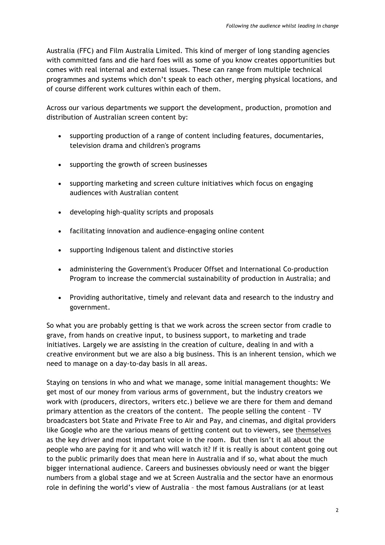Australia (FFC) and Film Australia Limited. This kind of merger of long standing agencies with committed fans and die hard foes will as some of you know creates opportunities but comes with real internal and external issues. These can range from multiple technical programmes and systems which don't speak to each other, merging physical locations, and of course different work cultures within each of them.

Across our various departments we support the development, production, promotion and distribution of Australian screen content by:

- supporting production of a range of content including features, documentaries, television drama and children's programs
- supporting the growth of screen businesses
- supporting marketing and screen culture initiatives which focus on engaging audiences with Australian content
- developing high-quality scripts and proposals
- facilitating innovation and audience-engaging online content
- supporting Indigenous talent and distinctive stories
- administering the Government's Producer Offset and International Co-production Program to increase the commercial sustainability of production in Australia; and
- Providing authoritative, timely and relevant data and research to the industry and government.

So what you are probably getting is that we work across the screen sector from cradle to grave, from hands on creative input, to business support, to marketing and trade initiatives. Largely we are assisting in the creation of culture, dealing in and with a creative environment but we are also a big business. This is an inherent tension, which we need to manage on a day-to-day basis in all areas.

Staying on tensions in who and what we manage, some initial management thoughts: We get most of our money from various arms of government, but the industry creators we work with (producers, directors, writers etc.) believe we are there for them and demand primary attention as the creators of the content. The people selling the content – TV broadcasters bot State and Private Free to Air and Pay, and cinemas, and digital providers like Google who are the various means of getting content out to viewers, see themselves as the key driver and most important voice in the room. But then isn't it all about the people who are paying for it and who will watch it? If it is really is about content going out to the public primarily does that mean here in Australia and if so, what about the much bigger international audience. Careers and businesses obviously need or want the bigger numbers from a global stage and we at Screen Australia and the sector have an enormous role in defining the world's view of Australia – the most famous Australians (or at least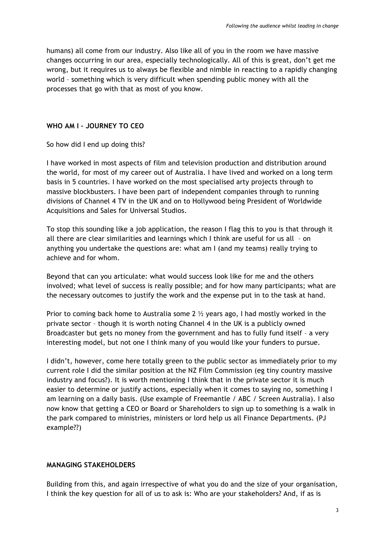humans) all come from our industry. Also like all of you in the room we have massive changes occurring in our area, especially technologically. All of this is great, don't get me wrong, but it requires us to always be flexible and nimble in reacting to a rapidly changing world – something which is very difficult when spending public money with all the processes that go with that as most of you know.

### **WHO AM I – JOURNEY TO CEO**

### So how did I end up doing this?

I have worked in most aspects of film and television production and distribution around the world, for most of my career out of Australia. I have lived and worked on a long term basis in 5 countries. I have worked on the most specialised arty projects through to massive blockbusters. I have been part of independent companies through to running divisions of Channel 4 TV in the UK and on to Hollywood being President of Worldwide Acquisitions and Sales for Universal Studios.

To stop this sounding like a job application, the reason I flag this to you is that through it all there are clear similarities and learnings which I think are useful for us all – on anything you undertake the questions are: what am I (and my teams) really trying to achieve and for whom.

Beyond that can you articulate: what would success look like for me and the others involved; what level of success is really possible; and for how many participants; what are the necessary outcomes to justify the work and the expense put in to the task at hand.

Prior to coming back home to Australia some 2  $\frac{1}{2}$  years ago, I had mostly worked in the private sector – though it is worth noting Channel 4 in the UK is a publicly owned Broadcaster but gets no money from the government and has to fully fund itself – a very interesting model, but not one I think many of you would like your funders to pursue.

I didn't, however, come here totally green to the public sector as immediately prior to my current role I did the similar position at the NZ Film Commission (eg tiny country massive industry and focus?). It is worth mentioning I think that in the private sector it is much easier to determine or justify actions, especially when it comes to saying no, something I am learning on a daily basis. (Use example of Freemantle / ABC / Screen Australia). I also now know that getting a CEO or Board or Shareholders to sign up to something is a walk in the park compared to ministries, ministers or lord help us all Finance Departments. (PJ example??)

### **MANAGING STAKEHOLDERS**

Building from this, and again irrespective of what you do and the size of your organisation, I think the key question for all of us to ask is: Who are your stakeholders? And, if as is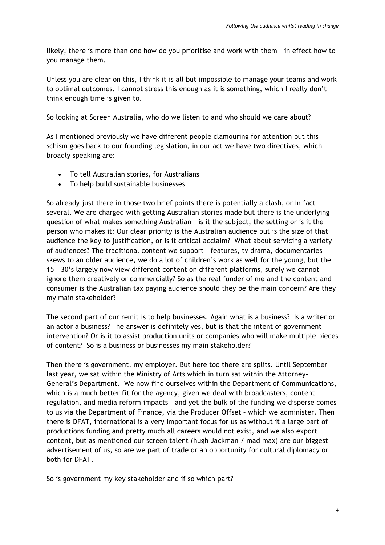likely, there is more than one how do you prioritise and work with them – in effect how to you manage them.

Unless you are clear on this, I think it is all but impossible to manage your teams and work to optimal outcomes. I cannot stress this enough as it is something, which I really don't think enough time is given to.

So looking at Screen Australia, who do we listen to and who should we care about?

As I mentioned previously we have different people clamouring for attention but this schism goes back to our founding legislation, in our act we have two directives, which broadly speaking are:

- To tell Australian stories, for Australians
- To help build sustainable businesses

So already just there in those two brief points there is potentially a clash, or in fact several. We are charged with getting Australian stories made but there is the underlying question of what makes something Australian – is it the subject, the setting or is it the person who makes it? Our clear priority is the Australian audience but is the size of that audience the key to justification, or is it critical acclaim? What about servicing a variety of audiences? The traditional content we support – features, tv drama, documentaries skews to an older audience, we do a lot of children's work as well for the young, but the 15 – 30's largely now view different content on different platforms, surely we cannot ignore them creatively or commercially? So as the real funder of me and the content and consumer is the Australian tax paying audience should they be the main concern? Are they my main stakeholder?

The second part of our remit is to help businesses. Again what is a business? Is a writer or an actor a business? The answer is definitely yes, but is that the intent of government intervention? Or is it to assist production units or companies who will make multiple pieces of content? So is a business or businesses my main stakeholder?

Then there is government, my employer. But here too there are splits. Until September last year, we sat within the Ministry of Arts which in turn sat within the Attorney-General's Department. We now find ourselves within the Department of Communications, which is a much better fit for the agency, given we deal with broadcasters, content regulation, and media reform impacts – and yet the bulk of the funding we disperse comes to us via the Department of Finance, via the Producer Offset – which we administer. Then there is DFAT, international is a very important focus for us as without it a large part of productions funding and pretty much all careers would not exist, and we also export content, but as mentioned our screen talent (hugh Jackman / mad max) are our biggest advertisement of us, so are we part of trade or an opportunity for cultural diplomacy or both for DFAT.

So is government my key stakeholder and if so which part?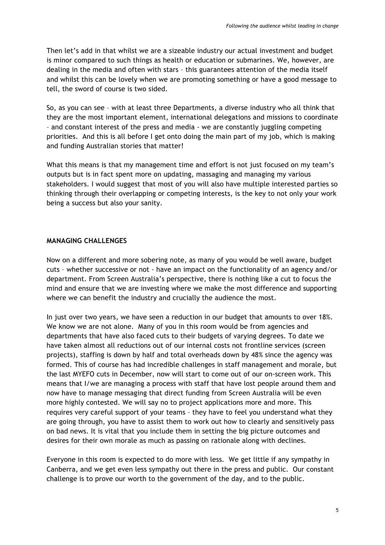Then let's add in that whilst we are a sizeable industry our actual investment and budget is minor compared to such things as health or education or submarines. We, however, are dealing in the media and often with stars – this guarantees attention of the media itself and whilst this can be lovely when we are promoting something or have a good message to tell, the sword of course is two sided.

So, as you can see – with at least three Departments, a diverse industry who all think that they are the most important element, international delegations and missions to coordinate – and constant interest of the press and media - we are constantly juggling competing priorities. And this is all before I get onto doing the main part of my job, which is making and funding Australian stories that matter!

What this means is that my management time and effort is not just focused on my team's outputs but is in fact spent more on updating, massaging and managing my various stakeholders. I would suggest that most of you will also have multiple interested parties so thinking through their overlapping or competing interests, is the key to not only your work being a success but also your sanity.

### **MANAGING CHALLENGES**

Now on a different and more sobering note, as many of you would be well aware, budget cuts – whether successive or not - have an impact on the functionality of an agency and/or department. From Screen Australia's perspective, there is nothing like a cut to focus the mind and ensure that we are investing where we make the most difference and supporting where we can benefit the industry and crucially the audience the most.

In just over two years, we have seen a reduction in our budget that amounts to over 18%. We know we are not alone. Many of you in this room would be from agencies and departments that have also faced cuts to their budgets of varying degrees. To date we have taken almost all reductions out of our internal costs not frontline services (screen projects), staffing is down by half and total overheads down by 48% since the agency was formed. This of course has had incredible challenges in staff management and morale, but the last MYEFO cuts in December, now will start to come out of our on-screen work. This means that I/we are managing a process with staff that have lost people around them and now have to manage messaging that direct funding from Screen Australia will be even more highly contested. We will say no to project applications more and more. This requires very careful support of your teams – they have to feel you understand what they are going through, you have to assist them to work out how to clearly and sensitively pass on bad news. It is vital that you include them in setting the big picture outcomes and desires for their own morale as much as passing on rationale along with declines.

Everyone in this room is expected to do more with less. We get little if any sympathy in Canberra, and we get even less sympathy out there in the press and public. Our constant challenge is to prove our worth to the government of the day, and to the public.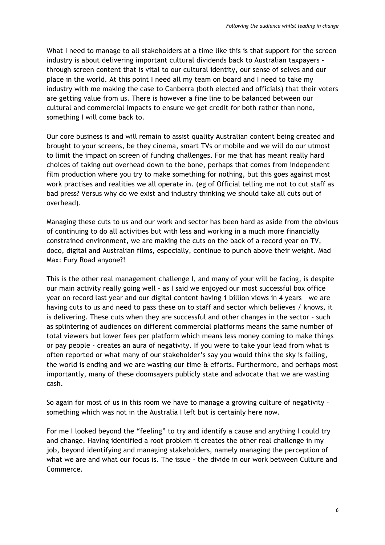What I need to manage to all stakeholders at a time like this is that support for the screen industry is about delivering important cultural dividends back to Australian taxpayers – through screen content that is vital to our cultural identity, our sense of selves and our place in the world. At this point I need all my team on board and I need to take my industry with me making the case to Canberra (both elected and officials) that their voters are getting value from us. There is however a fine line to be balanced between our cultural and commercial impacts to ensure we get credit for both rather than none, something I will come back to.

Our core business is and will remain to assist quality Australian content being created and brought to your screens, be they cinema, smart TVs or mobile and we will do our utmost to limit the impact on screen of funding challenges. For me that has meant really hard choices of taking out overhead down to the bone, perhaps that comes from independent film production where you try to make something for nothing, but this goes against most work practises and realities we all operate in. (eg of Official telling me not to cut staff as bad press? Versus why do we exist and industry thinking we should take all cuts out of overhead).

Managing these cuts to us and our work and sector has been hard as aside from the obvious of continuing to do all activities but with less and working in a much more financially constrained environment, we are making the cuts on the back of a record year on TV, doco, digital and Australian films, especially, continue to punch above their weight. Mad Max: Fury Road anyone?!

This is the other real management challenge I, and many of your will be facing, is despite our main activity really going well - as I said we enjoyed our most successful box office year on record last year and our digital content having 1 billion views in 4 years – we are having cuts to us and need to pass these on to staff and sector which believes / knows, it is delivering. These cuts when they are successful and other changes in the sector – such as splintering of audiences on different commercial platforms means the same number of total viewers but lower fees per platform which means less money coming to make things or pay people - creates an aura of negativity. If you were to take your lead from what is often reported or what many of our stakeholder's say you would think the sky is falling, the world is ending and we are wasting our time & efforts. Furthermore, and perhaps most importantly, many of these doomsayers publicly state and advocate that we are wasting cash.

So again for most of us in this room we have to manage a growing culture of negativity – something which was not in the Australia I left but is certainly here now.

For me I looked beyond the "feeling" to try and identify a cause and anything I could try and change. Having identified a root problem it creates the other real challenge in my job, beyond identifying and managing stakeholders, namely managing the perception of what we are and what our focus is. The issue - the divide in our work between Culture and Commerce.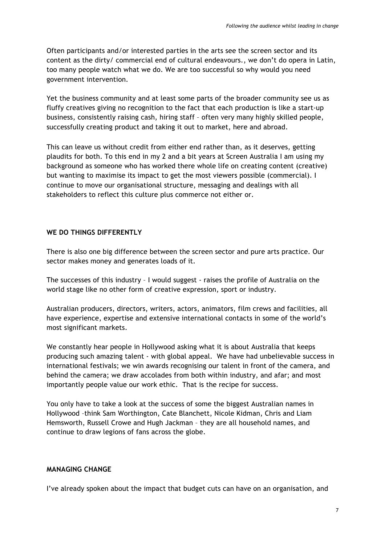Often participants and/or interested parties in the arts see the screen sector and its content as the dirty/ commercial end of cultural endeavours., we don't do opera in Latin, too many people watch what we do. We are too successful so why would you need government intervention.

Yet the business community and at least some parts of the broader community see us as fluffy creatives giving no recognition to the fact that each production is like a start-up business, consistently raising cash, hiring staff – often very many highly skilled people, successfully creating product and taking it out to market, here and abroad.

This can leave us without credit from either end rather than, as it deserves, getting plaudits for both. To this end in my 2 and a bit years at Screen Australia I am using my background as someone who has worked there whole life on creating content (creative) but wanting to maximise its impact to get the most viewers possible (commercial). I continue to move our organisational structure, messaging and dealings with all stakeholders to reflect this culture plus commerce not either or.

## **WE DO THINGS DIFFERENTLY**

There is also one big difference between the screen sector and pure arts practice. Our sector makes money and generates loads of it.

The successes of this industry – I would suggest - raises the profile of Australia on the world stage like no other form of creative expression, sport or industry.

Australian producers, directors, writers, actors, animators, film crews and facilities, all have experience, expertise and extensive international contacts in some of the world's most significant markets.

We constantly hear people in Hollywood asking what it is about Australia that keeps producing such amazing talent - with global appeal. We have had unbelievable success in international festivals; we win awards recognising our talent in front of the camera, and behind the camera; we draw accolades from both within industry, and afar; and most importantly people value our work ethic. That is the recipe for success.

You only have to take a look at the success of some the biggest Australian names in Hollywood –think Sam Worthington, Cate Blanchett, Nicole Kidman, Chris and Liam Hemsworth, Russell Crowe and Hugh Jackman – they are all household names, and continue to draw legions of fans across the globe.

### **MANAGING CHANGE**

I've already spoken about the impact that budget cuts can have on an organisation, and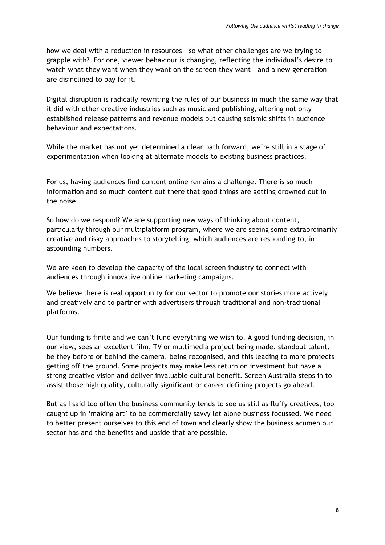how we deal with a reduction in resources – so what other challenges are we trying to grapple with? For one, viewer behaviour is changing, reflecting the individual's desire to watch what they want when they want on the screen they want – and a new generation are disinclined to pay for it.

Digital disruption is radically rewriting the rules of our business in much the same way that it did with other creative industries such as music and publishing, altering not only established release patterns and revenue models but causing seismic shifts in audience behaviour and expectations.

While the market has not yet determined a clear path forward, we're still in a stage of experimentation when looking at alternate models to existing business practices.

For us, having audiences find content online remains a challenge. There is so much information and so much content out there that good things are getting drowned out in the noise.

So how do we respond? We are supporting new ways of thinking about content, particularly through our multiplatform program, where we are seeing some extraordinarily creative and risky approaches to storytelling, which audiences are responding to, in astounding numbers.

We are keen to develop the capacity of the local screen industry to connect with audiences through innovative online marketing campaigns.

We believe there is real opportunity for our sector to promote our stories more actively and creatively and to partner with advertisers through traditional and non-traditional platforms.

Our funding is finite and we can't fund everything we wish to. A good funding decision, in our view, sees an excellent film, TV or multimedia project being made, standout talent, be they before or behind the camera, being recognised, and this leading to more projects getting off the ground. Some projects may make less return on investment but have a strong creative vision and deliver invaluable cultural benefit. Screen Australia steps in to assist those high quality, culturally significant or career defining projects go ahead.

But as I said too often the business community tends to see us still as fluffy creatives, too caught up in 'making art' to be commercially savvy let alone business focussed. We need to better present ourselves to this end of town and clearly show the business acumen our sector has and the benefits and upside that are possible.